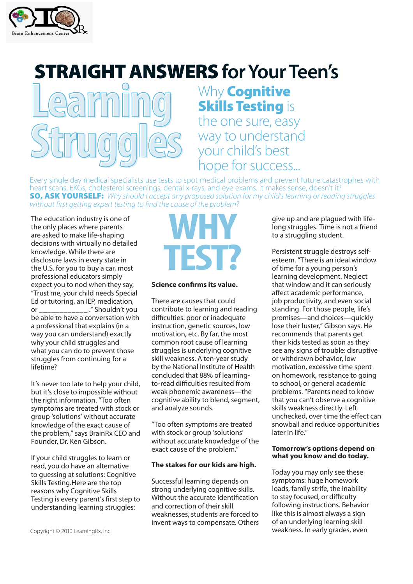

## **STRAIGHT ANSWERS for Your Teen's**



Why **Cognitive Skills Testing is** the one sure, easy way to understand your child's best hope for success...

Every single day medical specialists use tests to spot medical problems and prevent future catastrophes with heart scans, EKGs, cholesterol screenings, dental x-rays, and eye exams. It makes sense, doesn't it? **SO, ASK YOURSELF:** Why should I accept any proposed solution for my child's learning or reading struggles without first getting expert testing to find the cause of the problem?

The education industry is one of the only places where parents are asked to make life-shaping decisions with virtually no detailed knowledge. While there are disclosure laws in every state in the U.S. for you to buy a car, most professional educators simply expect you to nod when they say, "Trust me, your child needs Special Ed or tutoring, an IEP, medication, or \_\_\_\_\_\_\_\_\_\_\_\_ ." Shouldn't you be able to have a conversation with a professional that explains (in a way you can understand) exactly why your child struggles and what you can do to prevent those struggles from continuing for a lifetime?

It's never too late to help your child, but it's close to impossible without the right information. "Too often symptoms are treated with stock or group 'solutions' without accurate knowledge of the exact cause of the problem," says BrainRx CEO and Founder, Dr. Ken Gibson.

If your child struggles to learn or read, you do have an alternative to guessing at solutions: Cognitive Skills Testing.Here are the top reasons why Cognitive Skills Testing is every parent's first step to understanding learning struggles:

# **WHY TEST?**

#### **Science confirms its value.**

There are causes that could contribute to learning and reading difficulties: poor or inadequate instruction, genetic sources, low motivation, etc. By far, the most common root cause of learning struggles is underlying cognitive skill weakness. A ten-year study by the National Institute of Health concluded that 88% of learningto-read difficulties resulted from weak phonemic awareness—the cognitive ability to blend, segment, and analyze sounds.

"Too often symptoms are treated with stock or group 'solutions' without accurate knowledge of the exact cause of the problem."

#### **The stakes for our kids are high.**

Successful learning depends on strong underlying cognitive skills. Without the accurate identification and correction of their skill weaknesses, students are forced to invent ways to compensate. Others give up and are plagued with lifelong struggles. Time is not a friend to a struggling student.

Persistent struggle destroys selfesteem. "There is an ideal window of time for a young person's learning development. Neglect that window and it can seriously affect academic performance, job productivity, and even social standing. For those people, life's promises—and choices—quickly lose their luster," Gibson says. He recommends that parents get their kids tested as soon as they see any signs of trouble: disruptive or withdrawn behavior, low motivation, excessive time spent on homework, resistance to going to school, or general academic problems. "Parents need to know that you can't observe a cognitive skills weakness directly. Left unchecked, over time the effect can snowball and reduce opportunities later in life."

#### **Tomorrow's options depend on what you know and do today.**

Today you may only see these symptoms: huge homework loads, family strife, the inability to stay focused, or difficulty following instructions. Behavior like this is almost always a sign of an underlying learning skill weakness. In early grades, even